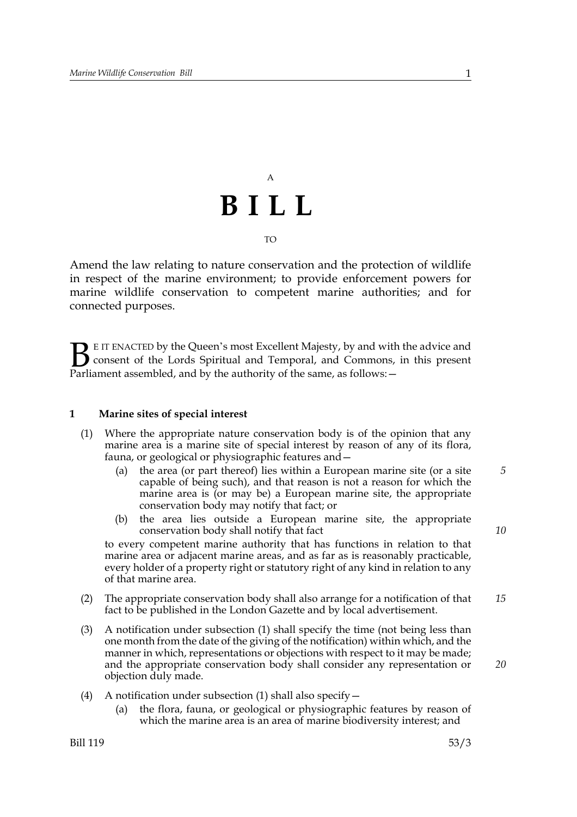# A **BILL** TO

Amend the law relating to nature conservation and the protection of wildlife in respect of the marine environment; to provide enforcement powers for marine wildlife conservation to competent marine authorities; and for connected purposes.

E IT ENACTED by the Queen's most Excellent Majesty, by and with the advice and consent of the Lords Spiritual and Temporal, and Commons, in this present **B** E IT ENACTED by the Queen's most Excellent Majesty, by and with consent of the Lords Spiritual and Temporal, and Commons, Parliament assembled, and by the authority of the same, as follows:  $-$ 

# **1 Marine sites of special interest**

- (1) Where the appropriate nature conservation body is of the opinion that any marine area is a marine site of special interest by reason of any of its flora, fauna, or geological or physiographic features and—
	- (a) the area (or part thereof) lies within a European marine site (or a site capable of being such), and that reason is not a reason for which the marine area is (or may be) a European marine site, the appropriate conservation body may notify that fact; or
	- (b) the area lies outside a European marine site, the appropriate conservation body shall notify that fact

to every competent marine authority that has functions in relation to that marine area or adjacent marine areas, and as far as is reasonably practicable, every holder of a property right or statutory right of any kind in relation to any of that marine area.

- (2) The appropriate conservation body shall also arrange for a notification of that fact to be published in the London Gazette and by local advertisement. *15*
- (3) A notification under subsection (1) shall specify the time (not being less than one month from the date of the giving of the notification) within which, and the manner in which, representations or objections with respect to it may be made; and the appropriate conservation body shall consider any representation or objection duly made.
- (4) A notification under subsection (1) shall also specify  $-$ 
	- (a) the flora, fauna, or geological or physiographic features by reason of which the marine area is an area of marine biodiversity interest; and

*5*

*10*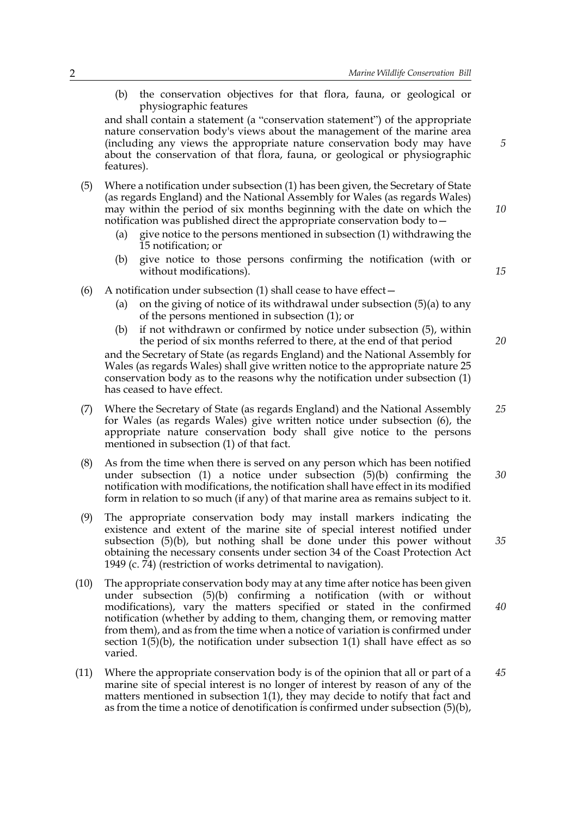(b) the conservation objectives for that flora, fauna, or geological or physiographic features

and shall contain a statement (a "conservation statement") of the appropriate nature conservation body's views about the management of the marine area (including any views the appropriate nature conservation body may have about the conservation of that flora, fauna, or geological or physiographic features).

- (5) Where a notification under subsection (1) has been given, the Secretary of State (as regards England) and the National Assembly for Wales (as regards Wales) may within the period of six months beginning with the date on which the notification was published direct the appropriate conservation body to—
	- (a) give notice to the persons mentioned in subsection (1) withdrawing the 15 notification; or
	- (b) give notice to those persons confirming the notification (with or without modifications).
- (6) A notification under subsection (1) shall cease to have effect  $-$ 
	- (a) on the giving of notice of its withdrawal under subsection  $(5)(a)$  to any of the persons mentioned in subsection (1); or
	- (b) if not withdrawn or confirmed by notice under subsection (5), within the period of six months referred to there, at the end of that period

and the Secretary of State (as regards England) and the National Assembly for Wales (as regards Wales) shall give written notice to the appropriate nature 25 conservation body as to the reasons why the notification under subsection (1) has ceased to have effect.

- (7) Where the Secretary of State (as regards England) and the National Assembly for Wales (as regards Wales) give written notice under subsection (6), the appropriate nature conservation body shall give notice to the persons mentioned in subsection (1) of that fact. *25*
- (8) As from the time when there is served on any person which has been notified under subsection  $(1)$  a notice under subsection  $(5)(b)$  confirming the notification with modifications, the notification shall have effect in its modified form in relation to so much (if any) of that marine area as remains subject to it. *30*
- (9) The appropriate conservation body may install markers indicating the existence and extent of the marine site of special interest notified under subsection (5)(b), but nothing shall be done under this power without obtaining the necessary consents under section 34 of the Coast Protection Act 1949 (c. 74) (restriction of works detrimental to navigation).
- (10) The appropriate conservation body may at any time after notice has been given under subsection (5)(b) confirming a notification (with or without modifications), vary the matters specified or stated in the confirmed notification (whether by adding to them, changing them, or removing matter from them), and as from the time when a notice of variation is confirmed under section  $1(5)(b)$ , the notification under subsection  $1(1)$  shall have effect as so varied. *40*
- (11) Where the appropriate conservation body is of the opinion that all or part of a marine site of special interest is no longer of interest by reason of any of the matters mentioned in subsection 1(1), they may decide to notify that fact and as from the time a notice of denotification is confirmed under subsection (5)(b), *45*

*5*

*10*

*15*

*20*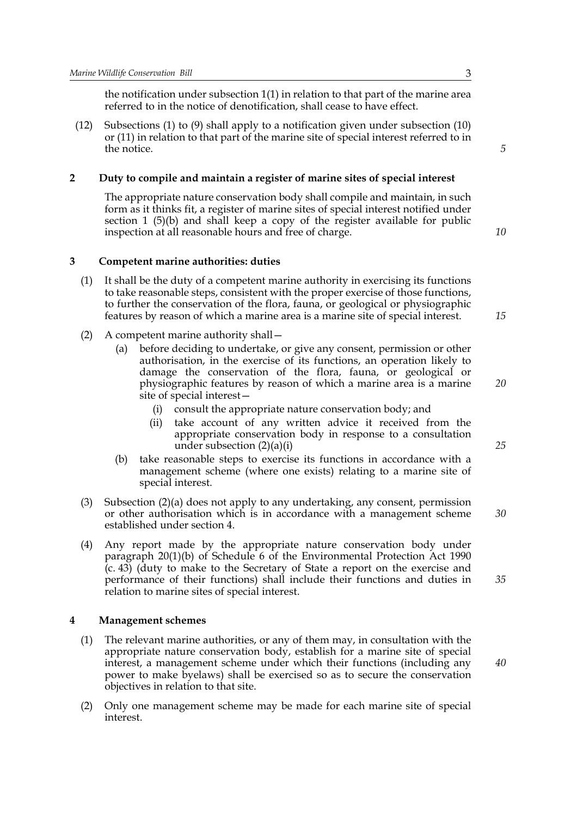the notification under subsection 1(1) in relation to that part of the marine area referred to in the notice of denotification, shall cease to have effect.

(12) Subsections (1) to (9) shall apply to a notification given under subsection (10) or (11) in relation to that part of the marine site of special interest referred to in the notice.

# **2 Duty to compile and maintain a register of marine sites of special interest**

The appropriate nature conservation body shall compile and maintain, in such form as it thinks fit, a register of marine sites of special interest notified under section 1 (5)(b) and shall keep a copy of the register available for public inspection at all reasonable hours and free of charge.

*10*

*15*

*20*

*25*

*30*

*35*

*40*

*5*

# **3 Competent marine authorities: duties**

- (1) It shall be the duty of a competent marine authority in exercising its functions to take reasonable steps, consistent with the proper exercise of those functions, to further the conservation of the flora, fauna, or geological or physiographic features by reason of which a marine area is a marine site of special interest.
- (2) A competent marine authority shall—
	- (a) before deciding to undertake, or give any consent, permission or other authorisation, in the exercise of its functions, an operation likely to damage the conservation of the flora, fauna, or geological or physiographic features by reason of which a marine area is a marine site of special interest—
		- (i) consult the appropriate nature conservation body; and
		- (ii) take account of any written advice it received from the appropriate conservation body in response to a consultation under subsection (2)(a)(i)
	- (b) take reasonable steps to exercise its functions in accordance with a management scheme (where one exists) relating to a marine site of special interest.
- (3) Subsection (2)(a) does not apply to any undertaking, any consent, permission or other authorisation which is in accordance with a management scheme established under section 4.
- (4) Any report made by the appropriate nature conservation body under paragraph 20(1)(b) of Schedule 6 of the Environmental Protection Act 1990 (c. 43) (duty to make to the Secretary of State a report on the exercise and performance of their functions) shall include their functions and duties in relation to marine sites of special interest.

# **4 Management schemes**

- (1) The relevant marine authorities, or any of them may, in consultation with the appropriate nature conservation body, establish for a marine site of special interest, a management scheme under which their functions (including any power to make byelaws) shall be exercised so as to secure the conservation objectives in relation to that site.
- (2) Only one management scheme may be made for each marine site of special interest.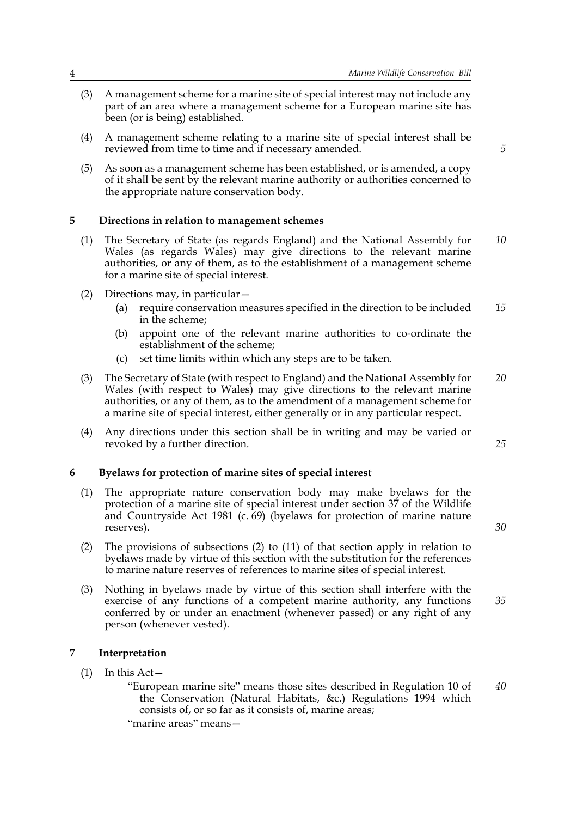- (3) A management scheme for a marine site of special interest may not include any part of an area where a management scheme for a European marine site has been (or is being) established.
- (4) A management scheme relating to a marine site of special interest shall be reviewed from time to time and if necessary amended.
- (5) As soon as a management scheme has been established, or is amended, a copy of it shall be sent by the relevant marine authority or authorities concerned to the appropriate nature conservation body.

# **5 Directions in relation to management schemes**

- (1) The Secretary of State (as regards England) and the National Assembly for Wales (as regards Wales) may give directions to the relevant marine authorities, or any of them, as to the establishment of a management scheme for a marine site of special interest. *10*
- (2) Directions may, in particular—
	- (a) require conservation measures specified in the direction to be included in the scheme; *15*
	- (b) appoint one of the relevant marine authorities to co-ordinate the establishment of the scheme;
	- (c) set time limits within which any steps are to be taken.
- (3) The Secretary of State (with respect to England) and the National Assembly for Wales (with respect to Wales) may give directions to the relevant marine authorities, or any of them, as to the amendment of a management scheme for a marine site of special interest, either generally or in any particular respect. *20*
- (4) Any directions under this section shall be in writing and may be varied or revoked by a further direction.

#### **6 Byelaws for protection of marine sites of special interest**

- (1) The appropriate nature conservation body may make byelaws for the protection of a marine site of special interest under section 37 of the Wildlife and Countryside Act 1981 (c. 69) (byelaws for protection of marine nature reserves).
- (2) The provisions of subsections (2) to (11) of that section apply in relation to byelaws made by virtue of this section with the substitution for the references to marine nature reserves of references to marine sites of special interest.
- (3) Nothing in byelaws made by virtue of this section shall interfere with the exercise of any functions of a competent marine authority, any functions conferred by or under an enactment (whenever passed) or any right of any person (whenever vested). *35*

# **7 Interpretation**

(1) In this Act—

"European marine site" means those sites described in Regulation 10 of the Conservation (Natural Habitats, &c.) Regulations 1994 which consists of, or so far as it consists of, marine areas; "marine areas" means— *40*

*5*

*25*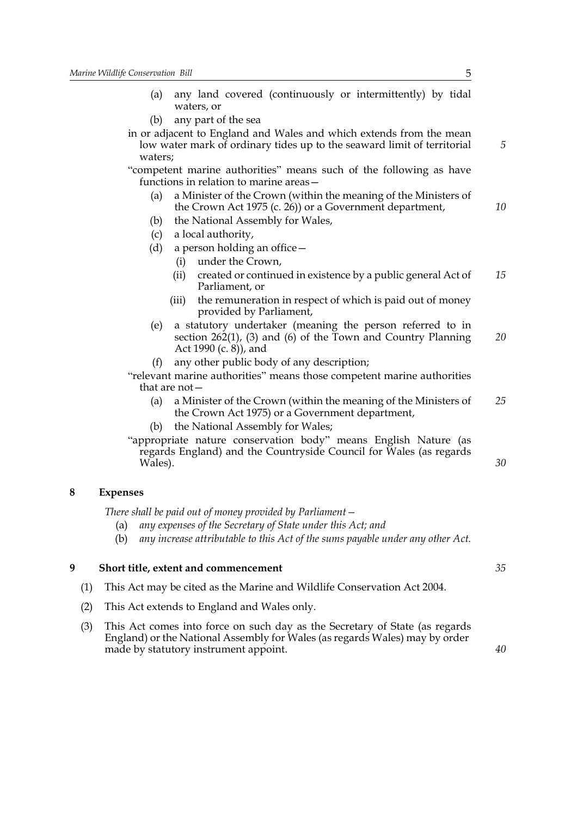- (a) any land covered (continuously or intermittently) by tidal waters, or
- (b) any part of the sea
- in or adjacent to England and Wales and which extends from the mean low water mark of ordinary tides up to the seaward limit of territorial waters;

"competent marine authorities" means such of the following as have functions in relation to marine areas—

- (a) a Minister of the Crown (within the meaning of the Ministers of the Crown Act 1975 (c. 26)) or a Government department,
- (b) the National Assembly for Wales,
- (c) a local authority,
- (d) a person holding an office—
	- (i) under the Crown,
	- (ii) created or continued in existence by a public general Act of Parliament, or *15*
	- (iii) the remuneration in respect of which is paid out of money provided by Parliament,
- (e) a statutory undertaker (meaning the person referred to in section 262(1), (3) and (6) of the Town and Country Planning Act 1990 (c. 8)), and *20*
- (f) any other public body of any description;

"relevant marine authorities" means those competent marine authorities that are not—

- (a) a Minister of the Crown (within the meaning of the Ministers of the Crown Act 1975) or a Government department, *25*
- the National Assembly for Wales;

"appropriate nature conservation body" means English Nature (as regards England) and the Countryside Council for Wales (as regards Wales).

# **8 Expenses**

*There shall be paid out of money provided by Parliament—*

- (a) *any expenses of the Secretary of State under this Act; and*
- (b) *any increase attributable to this Act of the sums payable under any other Act.*

# **9 Short title, extent and commencement**

- (1) This Act may be cited as the Marine and Wildlife Conservation Act 2004.
- (2) This Act extends to England and Wales only.
- (3) This Act comes into force on such day as the Secretary of State (as regards England) or the National Assembly for Wales (as regards Wales) may by order made by statutory instrument appoint.

*5*

*10*

*40*